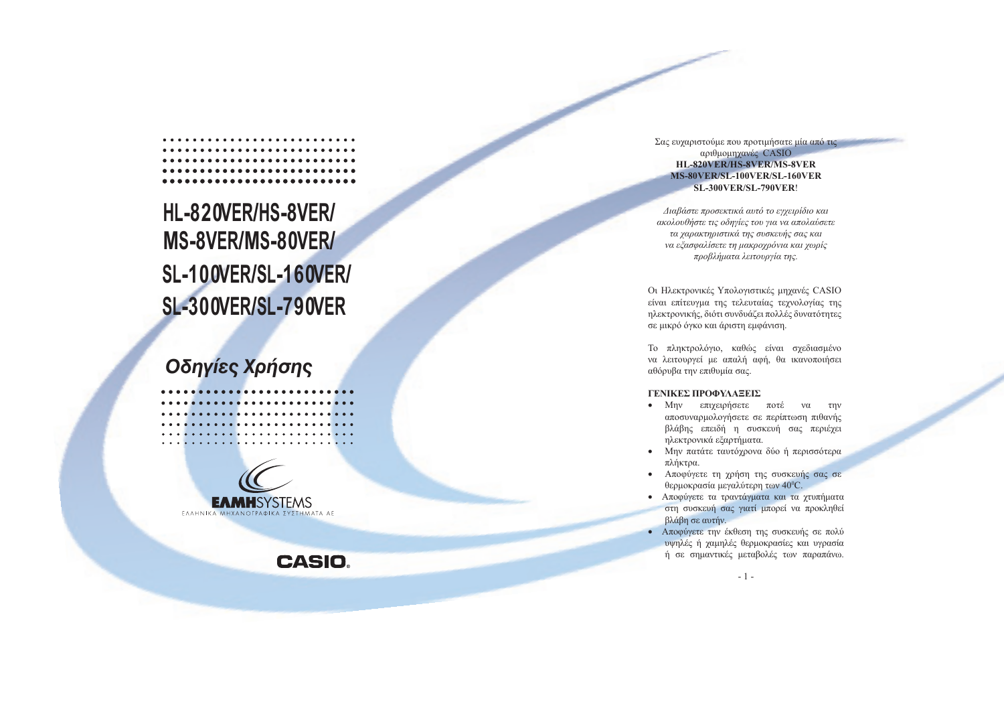# HL-820VER/HS-8VER/ MS-8VER/MS-80VER/ **SL-100VER/SL-160VER/ SL-300VER/SL-790VER**

## Οδηγίες Χρήσης





**CASIO** 

#### Σας ευχαριστούμε που προτιμήσατε μία από τις αριθμομηχανές CASIO HL-820VER/HS-8VER/MS-8VER MS-80VER/SL-100VER/SL-160VER **SL-300VER/SL-790VER!**

Διαβάστε προσεκτικά αυτό το εγχειρίδιο και ακολουθήστε τις οδηγίες του για να απολαύσετε τα χαρακτηριστικά της συσκευής σας και να εξασφαλίσετε τη μακροχρόνια και χωρίς προβλήματα λειτουργία της.

Οι Ηλεκτρονικές Υπολογιστικές μηχανές CASIO είναι επίτευγμα της τελευταίας τεχνολογίας της ηλεκτρονικής, διότι συνδυάζει πολλές δυνατότητες σε μικρό όγκο και άριστη εμφάνιση.

Το πληκτρολόγιο, καθώς είναι σχεδιασμένο να λειτουργεί με απαλή αφή, θα ικανοποιήσει αθόρυβα την επιθυμία σας.

#### ΓΕΝΙΚΕΣ ΠΡΟΦΥΛΑΞΕΙΣ

- Μην επιχειρήσετε ποτέ  $\nu\alpha$ την αποσυναρμολογήσετε σε περίπτωση πιθανής βλάβης επειδή η συσκευή σας περιέχει ηλεκτρονικά εξαρτήματα.
- Μην πατάτε ταυτόχρονα δύο ή περισσότερα πλήκτρα.
- Αποφύγετε τη χρήση της συσκευής σας σε θερμοκρασία μεγαλύτερη των 40<sup>o</sup>C.
- · Αποφύγετε τα τραντάγματα και τα γτυπήματα στη συσκευή σας γιατί μπορεί να προκληθεί βλάβη σε αυτήν.
- Αποφύγετε την έκθεση της συσκευής σε πολύ υψηλές ή χαμηλές θερμοκρασίες και υγρασία ή σε σημαντικές μεταβολές των παραπάνω.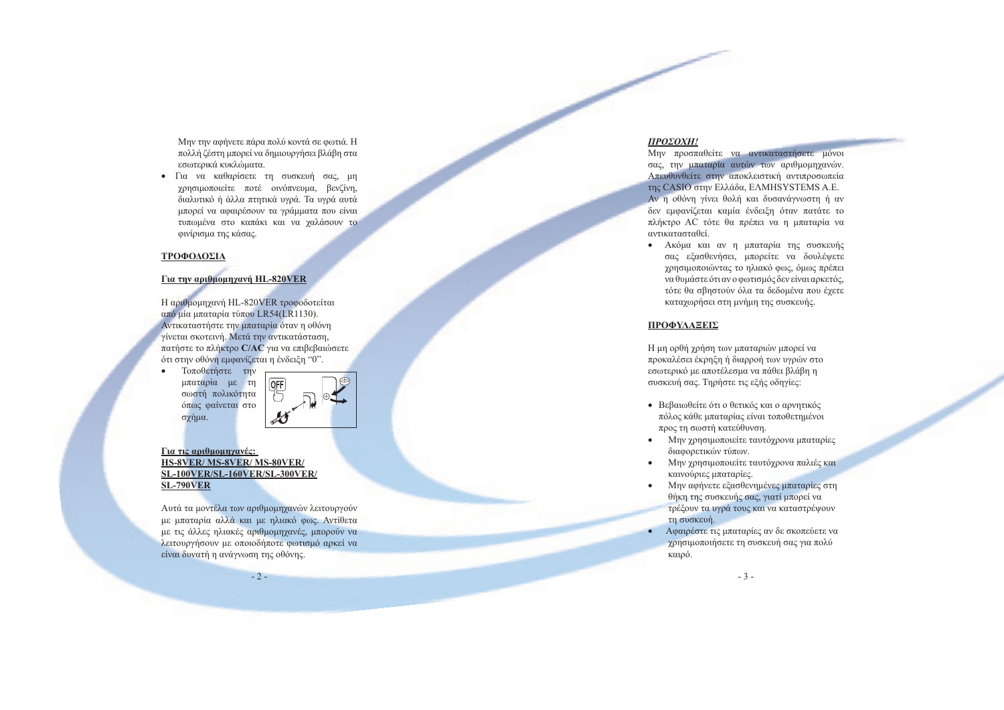Μην την αφήνετε πάρα πολύ κοντά σε φωτιά. Η πολλή ζέστη μπορεί να δημιουργήσει βλάβη στα εσωτερικά κυκλώματα.

• Για να καθαρίσετε τη συσκευή σας, μη γρησιμοποιείτε ποτέ οινόπνευμα, βενζίνη, διαλυτικό ή άλλα πτητικά υγρά. Τα υγρά αυτά μπορεί να αφαιρέσουν τα γράμματα που είναι τυπωμένα στο καπάκι και να γαλάσουν το φινίρισμα της κάσας.

#### ΤΡΟΦΟΔΟΣΙΑ

 $\bullet$ 

#### **Για την αριθμομηχανή HL-820VER**

Η αριθμομηχανή HL-820VER τροφοδοτείται από μία μπαταρία τύπου LR54(LR1130). Αντικαταστήστε την μπαταρία όταν η οθόνη γίνεται σκοτεινή. Μετά την αντικατάσταση, πατήστε το πλήκτρο C/AC για να επιβεβαιώσετε ότι στην οθόνη εμφανίζεται η ένδειξη "0".

Τοποθετήστε την μπαταρία με τη σωστή πολικότητα όπως φαίνεται στο σχήμα.



#### Για τις αριθμομηχανές: HS-8VER/MS-8VER/MS-80VER/ SL-100VER/SL-160VER/SL-300VER/ **SL-790VER**

Αυτά τα μοντέλα των αριθμομηγανών λειτουργούν με μπαταρία αλλά και με ηλιακό φως. Αντίθετα με τις άλλες ηλιακές αριθμομηχανές, μπορούν να λειτουργήσουν με οποιοδήποτε φωτισμό αρκεί να είναι δυνατή η ανάγνωση της οθόνης.

 $-2-$ 

#### ΠΡΟΣΟΧΗ!

Μην προσπαθείτε να αντικαταστήσετε μόνοι σας, την μπαταρία αυτών των αριθμομηχανών. Απευθυνθείτε στην αποκλειστική αντιπροσωπεία της CASIO στην Ελλάδα, ΕΛΜΗSΥSTEMS Α.Ε. Αν η οθόνη γίνει θολή και δυσανάγνωστη ή αν δεν εμφανίζεται καμία ένδειξη όταν πατάτε το πλήκτρο AC τότε θα πρέπει να η μπαταρία να αντικατασταθεί.

· Ακόμα και αν η μπαταρία της συσκευής σας εξασθενήσει, μπορείτε να δουλέψετε χρησιμοποιώντας το ηλιακό φως, όμως πρέπει να θυμάστε ότι αν ο φωτισμός δεν είναι αρκετός, τότε θα σβηστούν όλα τα δεδομένα που έχετε καταγωρήσει στη μνήμη της συσκευής.

#### ΠΡΟΦΥΛΑΞΕΙΣ

Η μη ορθή χρήση των μπαταριών μπορεί να προκαλέσει έκρηξη ή διαρροή των υγρών στο εσωτερικό με αποτέλεσμα να πάθει βλάβη η συσκευή σας. Τηρήστε τις εξής οδηγίες:

- Βεβαιωθείτε ότι ο θετικός και ο αρνητικός πόλος κάθε μπαταρίας είναι τοποθετημένοι προς τη σωστή κατεύθυνση.
- Μην χρησιμοποιείτε ταυτόγρονα μπαταρίες διαφορετικών τύπων.
- Μην χρησιμοποιείτε ταυτόχρονα παλιές και  $\bullet$ καινούριες μπαταρίες.
- Μην αφήνετε εξασθενημένες μπαταρίες στη θήκη της συσκευής σας, γιατί μπορεί να τρέξουν τα υγρά τους και να καταστρέψουν τη συσκευή.
- Αφαιρέστε τις μπαταρίες αν δε σκοπεύετε να χρησιμοποιήσετε τη συσκευή σας για πολύ καιρό.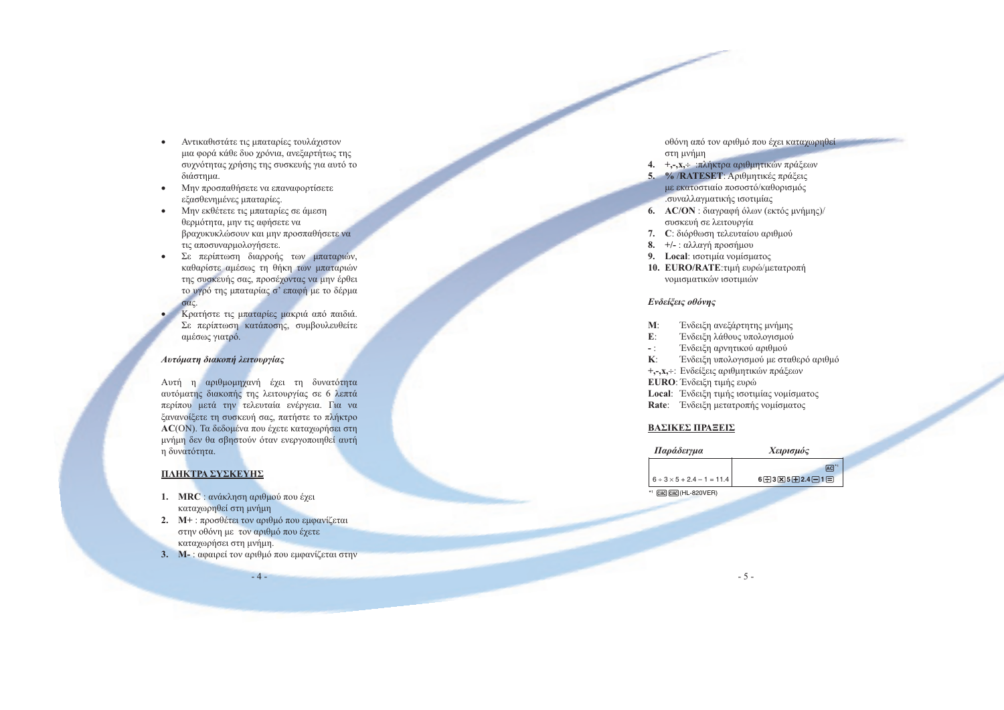- Αντικαθιστάτε τις μπαταρίες τουλάγιστον  $\bullet$ μια φορά κάθε δυο γρόνια, ανεξαρτήτως της συγνότητας γρήσης της συσκευής για αυτό το διάστημα.
- Μην προσπαθήσετε να επαναφορτίσετε  $\bullet$ εξασθενημένες μπαταρίες.
- Μην εκθέτετε τις μπαταρίες σε άμεση θερμότητα, μην τις αφήσετε να βραχυκυκλώσουν και μην προσπαθήσετε να τις αποσυναρμολογήσετε.
- Σε περίπτωση διαρροής των μπαταριών, καθαρίστε αμέσως τη θήκη των μπαταριών της συσκευής σας, προσέχοντας να μην έρθει το υγρό της μπαταρίας σ' επαφή με το δέρμα  $\sigma \alpha$ c.
- Κρατήστε τις μπαταρίες μακριά από παιδιά. Σε περίπτωση κατάποσης, συμβουλευθείτε αμέσως γιατρό.

#### Αυτόματη διακοπή λειτουργίας

Αυτή η αριθμομηγανή έγει τη δυνατότητα αυτόματης διακοπής της λειτουργίας σε 6 λεπτά περίπου μετά την τελευταία ενέργεια. Για να ξανανοίξετε τη συσκευή σας, πατήστε το πλήκτρο AC(ON). Τα δεδομένα που έχετε καταχωρήσει στη μνήμη δεν θα σβηστούν όταν ενεργοποιηθεί αυτή η δυνατότητα.

#### ΠΛΗΚΤΡΑ ΣΥΣΚΕΥΗΣ

- 1. MRC: ανάκληση αριθμού που έγει καταγωρηθεί στη μνήμη
- 2. Μ+: προσθέτει τον αριθμό που εμφανίζεται στην οθόνη με τον αριθμό που έχετε καταχωρήσει στη μνήμη.
- 3. Μ-: αφαιρεί τον αριθμό που εμφανίζεται στην  $-4-$

οθόνη από τον αριθμό που έχει καταχωρηθεί στη μνήμη

- 4. +,-,x, πλήκτρα αριθμητικών πράξεων
- 5. % / RATESET: Αριθμητικές πράξεις με εκατοστιαίο ποσοστό/καθορισμός συναλλαγματικής ισοτιμίας
- 6. AC/ON: διαγραφή όλων (εκτός μνήμης)/ συσκευή σε λειτουργία
- 7. C: διόρθωση τελευταίου αριθμού
- 8.  $+/-$ : αλλαγή προσήμου
- 9. Local: ισοτιμία νομίσματος
- 10. EURO/RATE: τιμή ευρώ/μετατροπή νομισματικών ισοτιμιών

#### Ενδείξεις οθόνης

- $M:$ Ένδειξη ανεξάρτητης μνήμης
- $E$ : Ένδειξη λάθους υπολογισμού
- $-$  1  $^{\circ}$ Ένδειξη αρνητικού αριθμού
- Ένδειξη υπολογισμού με σταθερό αριθμό  $\mathbf{K}$ :
- +,-, x, -: Ενδείξεις αριθμητικών πράξεων
- EURO: Ένδειξη τιμής ευρώ
- Local: Ένδειξη τιμής ισοτιμίας νομίσματος
- Rate: Ένδειξη μετατροπής νομίσματος

#### ΒΑΣΙΚΕΣ ΠΡΑΞΕΙΣ

| Παράδειγμα                        | Χειρισμός                                |
|-----------------------------------|------------------------------------------|
|                                   | <b>AC</b>                                |
| $6 + 3 \times 5 + 2.4 - 1 = 11.4$ | $6 - 3$ $\overline{)3 - 5 - 2.4 - 1 = 1$ |
| *1 CIAC CIAC (HL-820VER)          |                                          |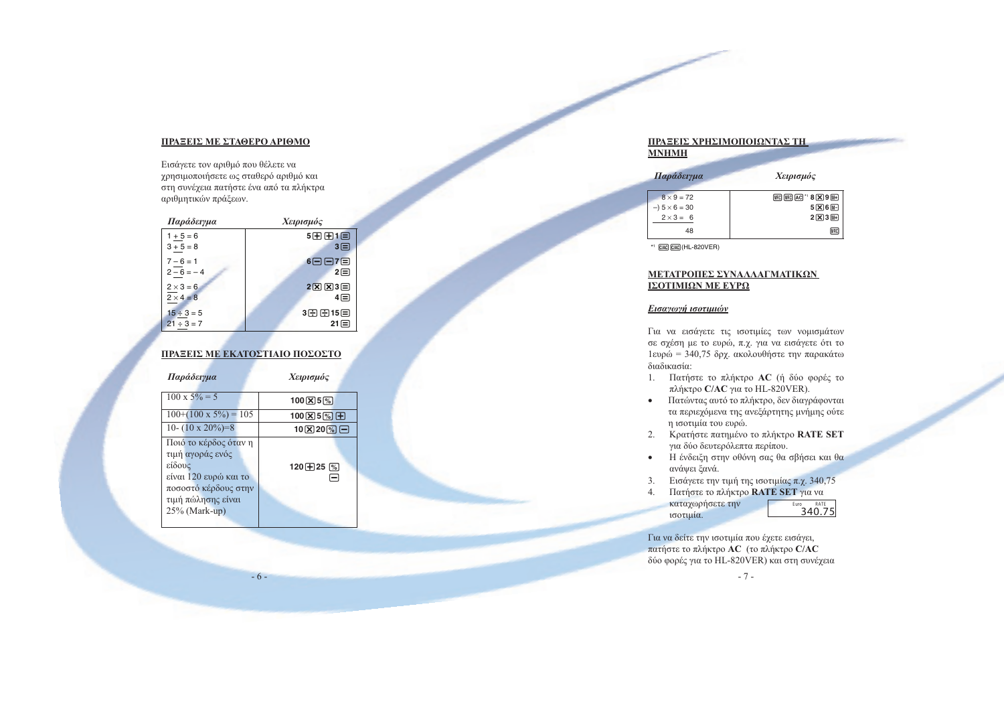#### ΠΡΑΞΕΙΣ ΜΕ ΣΤΑΘΕΡΟ ΑΡΙΘΜΟ

Εισάγετε τον αριθμό που θέλετε να χρησιμοποιήσετε ως σταθερό αριθμό και στη συνέχεια πατήστε ένα από τα πλήκτρα αριθμητικών πράξεων.

| Παράδειγμα       | Χειρισμός                          |
|------------------|------------------------------------|
| $1 + 5 = 6$      | 5田田1日                              |
| $3 + 5 = 8$      | $3\equiv$                          |
| $7 - 6 = 1$      | 6日日7日                              |
| $2-6=-4$         | 2日                                 |
| $2 \times 3 = 6$ | $2\sqrt{X}$ $\sqrt{X}$ $3\sqrt{Y}$ |
| $2 \times 4 = 8$ | 4⊟                                 |
| $15 \div 3 = 5$  | 3日日15日                             |
| $21 \div 3 = 7$  | $21 \square$                       |

#### ΠΡΑΞΕΙΣ ΜΕ ΕΚΑΤΟΣΤΙΑΙΟ ΠΟΣΟΣΤΟ

| Παράδειγμα                                                                                                                                  | Χειρισμός                                       |
|---------------------------------------------------------------------------------------------------------------------------------------------|-------------------------------------------------|
| $100 \times 5\% = 5$                                                                                                                        | $100 \times 5$ <sup>%</sup>                     |
| $100+(100 \times 5\%) = 105$                                                                                                                | $100$ $\overline{X}$ $5\%$ $\overline{H}$       |
| 10- $(10 \times 20\%)=8$                                                                                                                    | $10$ $\overline{X}$ $20$ $\overline{\%}$ $\Box$ |
| Ποιό το κέρδος όταν η<br>τιμή αγοράς ενός<br>είδους<br>είναι 120 ευρώ και το<br>ποσοστό κέρδους στην<br>τιμή πώλησης είναι<br>25% (Mark-up) | 120 $\boxplus$ 25 $\%$                          |

 $-6-$ 

### ΠΡΑΞΕΙΣ ΧΡΗΣΙΜΟΠΟΙΩΝΤΑΣ ΤΗ **MNHMH**

| Παράδειγμα                                                            | Χειρισμός                                                                                  |
|-----------------------------------------------------------------------|--------------------------------------------------------------------------------------------|
| $8 \times 9 = 72$<br>$-)$ 5 $\times$ 6 = 30<br>$2 \times 3 = 6$<br>48 | $MRC$ $MRC$ $A$ C $^*$ 8 $X$ 9 $M+$<br>$5 \times 6$ M-<br>$2[\overline{X}]3[\overline{W}]$ |
|                                                                       |                                                                                            |

 $*$ 1  $C/AC$  $C/AC$  $(HL-820VER)$ 

#### ΜΕΤΑΤΡΟΠΕΣ ΣΥΝΑΛΛΑΓΜΑΤΙΚΩΝ ΙΣΟΤΙΜΙΩΝ ΜΕ ΕΥΡΩ

#### Εισαγωγή ισοτιμιών

Για να εισάγετε τις ισοτιμίες των νομισμάτων σε σχέση με το ευρώ, π.χ. για να εισάγετε ότι το 1ευρώ = 340,75 δρχ. ακολουθήστε την παρακάτω διαδικασία:

- 1. Πατήστε το πλήκτρο AC (ή δύο φορές το πλήκτρο C/AC για το HL-820VER).
- · Πατώντας αυτό το πλήκτρο, δεν διαγράφονται τα περιεχόμενα της ανεξάρτητης μνήμης ούτε η ισοτιμία του ευρώ.
- 2. Κρατήστε πατημένο το πλήκτρο RATE SET για δύο δευτερόλεπτα περίπου.
- · Η ένδειξη στην οθόνη σας θα σβήσει και θα ανάψει ξανά.
- 3. Εισάγετε την τιμή της ισοτιμίας π.χ. 340,75

Πατήστε το πλήκτρο RATE SET για να 4. καταχωρήσετε την  $\overline{340.75}$ ισοτιμία.

Για να δείτε την ισοτιμία που έχετε εισάγει, πατήστε το πλήκτρο AC (το πλήκτρο C/AC δύο φορές για το HL-820VER) και στη συνέχεια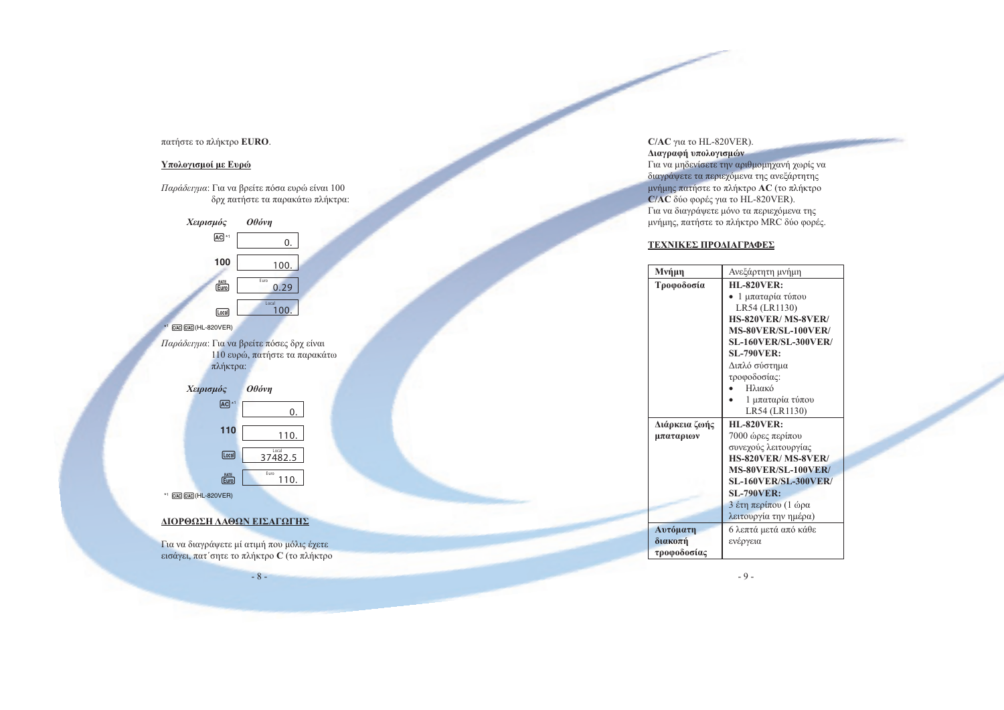#### πατήστε το πλήκτρο EURO.

#### Υπολογισμοί με Ευρώ

Παράδειγμα: Για να βρείτε πόσα ευρώ είναι 100 δρχ πατήστε τα παρακάτω πλήκτρα:



 $Euro$  $*$ <sup>1</sup>  $C/AC$  $C/AC$  $(HL-820VER)$ 

#### ΔΙΟΡΘΩΣΗ ΛΑΘΩΝ ΕΙΣΑΓΩΓΗΣ

Για να διαγράψετε μί ατιμή που μόλις έχετε εισάγει, πατ' σητε το πλήκτρο C (το πλήκτρο

 $-8-$ 

110.

 $C/AC$ για το HL-820VER). Διαγραφή υπολογισμών

Για να μηδενίσετε την αριθμομηχανή χωρίς να διαγράψετε τα περιεχόμενα της ανεξάρτητης μνήμης πατήστε το πλήκτρο AC (το πλήκτρο C/AC δύο φορές για το HL-820VER). Για να διαγράψετε μόνο τα περιεχόμενα της μνήμης, πατήστε το πλήκτρο MRC δύο φορές.

#### ΤΕΧΝΙΚΕΣ ΠΡΟΔΙΑΓΡΑΦΕΣ

| Μνήμη         | Ανεξάρτητη μνήμη            |  |
|---------------|-----------------------------|--|
| Τροφοδοσία    | <b>HL-820VER:</b>           |  |
|               | 1 μπαταρία τύπου            |  |
|               | LR54 (LR1130)               |  |
|               | HS-820VER/MS-8VER/          |  |
|               | MS-80VER/SL-100VER/         |  |
|               | <b>SL-160VER/SL-300VER/</b> |  |
|               | <b>SL-790VER:</b>           |  |
|               | Διπλό σύστημα               |  |
|               | τροφοδοσίας:                |  |
|               | Ηλιακό                      |  |
|               | 1 μπαταρία τύπου            |  |
|               | LR54 (LR1130)               |  |
| Διάρκεια ζωής | <b>HL-820VER:</b>           |  |
| μπαταριων     | 7000 ώρες περίπου           |  |
|               | συνεχούς λειτουργίας        |  |
|               | HS-820VER/MS-8VER/          |  |
|               | <b>MS-80VER/SL-100VER/</b>  |  |
|               | <b>SL-160VER/SL-300VER/</b> |  |
|               | <b>SL-790VER:</b>           |  |
|               | 3 έτη περίπου (1 ώρα        |  |
|               | λειτουργία την ημέρα)       |  |
| Αυτόματη      | 6 λεπτά μετά από κάθε       |  |
| διακοπή       | ενέργεια                    |  |
| τροφοδοσίας   |                             |  |

 $-9-$